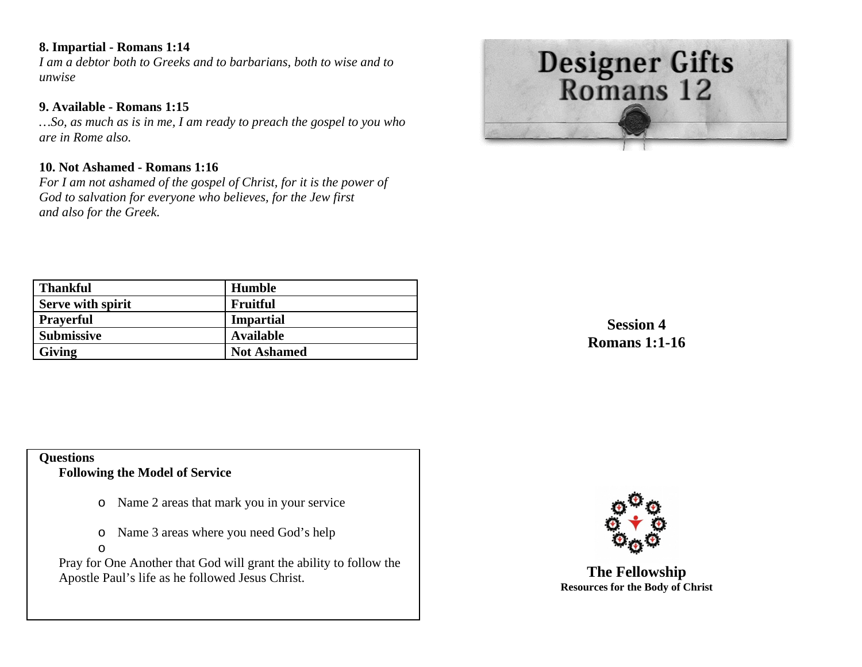# **8. Impartial - Romans 1:14**

*I am a debtor both to Greeks and to barbarians, both to wise and to unwise* 

# **9. Available - Romans 1:15**

*…So, as much as is in me, I am ready to preach the gospel to you who are in Rome also.* 

# **10. Not Ashamed - Romans 1:16**

*For I am not ashamed of the gospel of Christ, for it is the power of God to salvation for everyone who believes, for the Jew first and also for the Greek.* 



| <b>Thankful</b>   | <b>Humble</b>      |
|-------------------|--------------------|
| Serve with spirit | Fruitful           |
| <b>Prayerful</b>  | <b>Impartial</b>   |
| <b>Submissive</b> | <b>Available</b>   |
| <b>Giving</b>     | <b>Not Ashamed</b> |

**Session 4 Romans 1:1-16** 

### **Questions Following the Model of Service**

- o Name 2 areas that mark you in your service
- oName 3 areas where you need God's help
- o

Pray for One Another that God will grant the ability to follow the Apostle Paul's life as he followed Jesus Christ.



**The Fellowship Resources for the Body of Christ**